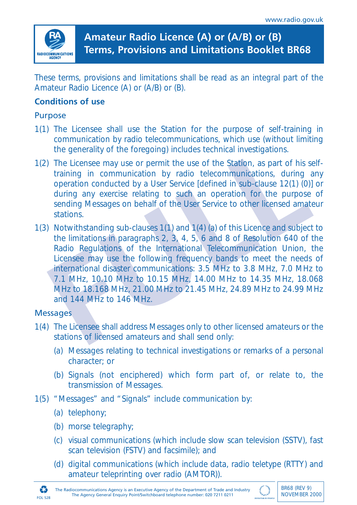

# **Amateur Radio Licence (A) or (A/B) or (B) Terms, Provisions and Limitations Booklet BR68**

These terms, provisions and limitations shall be read as an integral part of the Amateur Radio Licence (A) or (A/B) or (B).

# **Conditions of use**

#### Purpose

- 1(1) The Licensee shall use the Station for the purpose of self-training in communication by radio telecommunications, which use (without limiting the generality of the foregoing) includes technical investigations.
- 1(2) The Licensee may use or permit the use of the Station, as part of his selftraining in communication by radio telecommunications, during any operation conducted by a User Service [defined in sub-clause 12(1) (0)] or during any exercise relating to such an operation for the purpose of sending Messages on behalf of the User Service to other licensed amateur stations.
- the generality of the foregoing) includes technical investigations.<br>The Licensee may use or permit the use of the Station, as part of his set training in communication by radio telecommunications, during a operation conduc 1(3) Notwithstanding sub-clauses 1(1) and 1(4) (a) of this Licence and subject to the limitations in paragraphs 2, 3, 4, 5, 6 and 8 of Resolution 640 of the Radio Regulations of the International Telecommunication Union, the Licensee may use the following frequency bands to meet the needs of international disaster communications: 3.5 MHz to 3.8 MHz, 7.0 MHz to 7.1 MHz, 10.10 MHz to 10.15 MHz, 14.00 MHz to 14.35 MHz, 18.068 MHz to 18.168 MHz, 21.00 MHz to 21.45 MHz, 24.89 MHz to 24.99 MHz and 144 MHz to 146 MHz.

# **Messages**

- 1(4) The Licensee shall address Messages only to other licensed amateurs or the stations of licensed amateurs and shall send only:
	- (a) Messages relating to technical investigations or remarks of a personal character; or
	- (b) Signals (not enciphered) which form part of, or relate to, the transmission of Messages.
- 1(5) "Messages" and "Signals" include communication by:
	- (a) telephony;
	- (b) morse telegraphy;
	- (c) visual communications (which include slow scan television (SSTV), fast scan television (FSTV) and facsimile); and
	- (d) digital communications (which include data, radio teletype (RTTY) and amateur teleprinting over radio (AMTOR)).



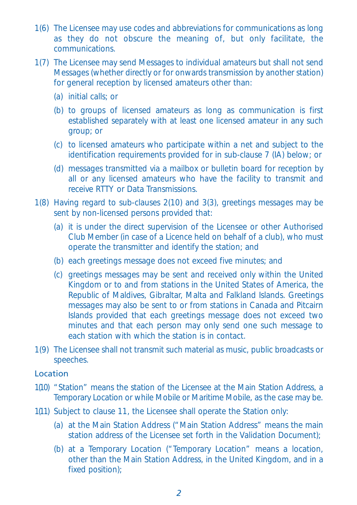- 1(6) The Licensee may use codes and abbreviations for communications as long as they do not obscure the meaning of, but only facilitate, the communications.
- 1(7) The Licensee may send Messages to individual amateurs but shall not send Messages (whether directly or for onwards transmission by another station) for general reception by licensed amateurs other than:
	- (a) initial calls; or
	- (b) to groups of licensed amateurs as long as communication is first established separately with at least one licensed amateur in any such group; or
	- (c) to licensed amateurs who participate within a net and subject to the identification requirements provided for in sub-clause 7 (IA) below; or
	- (d) messages transmitted via a mailbox or bulletin board for reception by all or any licensed amateurs who have the facility to transmit and receive RTTY or Data Transmissions.
- 1(8) Having regard to sub-clauses 2(10) and 3(3), greetings messages may be sent by non-licensed persons provided that:
	- (a) it is under the direct supervision of the Licensee or other Authorised Club Member (in case of a Licence held on behalf of a club), who must operate the transmitter and identify the station; and
	- (b) each greetings message does not exceed five minutes; and
	- (c) greetings messages may be sent and received only within the United Kingdom or to and from stations in the United States of America, the Republic of Maldives, Gibraltar, Malta and Falkland Islands. Greetings messages may also be sent to or from stations in Canada and Pitcairn Islands provided that each greetings message does not exceed two minutes and that each person may only send one such message to each station with which the station is in contact.
- 1(9) The Licensee shall not transmit such material as music, public broadcasts or speeches.

## Location

- 1(10) "Station" means the station of the Licensee at the Main Station Address, a Temporary Location or while Mobile or Maritime Mobile, as the case may be.
- 1(11) Subject to clause 11, the Licensee shall operate the Station only:
	- (a) at the Main Station Address ("Main Station Address" means the main station address of the Licensee set forth in the Validation Document);
	- (b) at a Temporary Location ("Temporary Location" means a location, other than the Main Station Address, in the United Kingdom, and in a fixed position);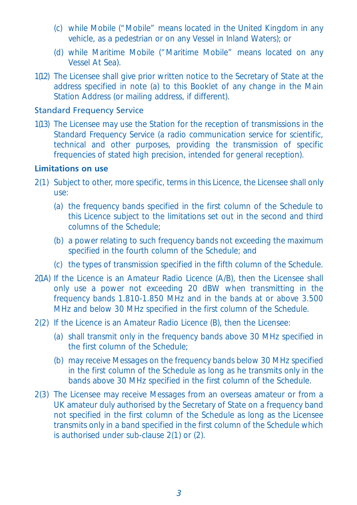- (c) while Mobile ("Mobile" means located in the United Kingdom in any vehicle, as a pedestrian or on any Vessel in Inland Waters); or
- (d) while Maritime Mobile ("Maritime Mobile" means located on any Vessel At Sea).
- 1(12) The Licensee shall give prior written notice to the Secretary of State at the address specified in note (a) to this Booklet of any change in the Main Station Address (or mailing address, if different).

#### Standard Frequency Service

1(13) The Licensee may use the Station for the reception of transmissions in the Standard Frequency Service (a radio communication service for scientific, technical and other purposes, providing the transmission of specific frequencies of stated high precision, intended for general reception).

# **Limitations on use**

- 2(1) Subject to other, more specific, terms in this Licence, the Licensee shall only use:
	- (a) the frequency bands specified in the first column of the Schedule to this Licence subject to the limitations set out in the second and third columns of the Schedule;
	- (b) a power relating to such frequency bands not exceeding the maximum specified in the fourth column of the Schedule; and
	- (c) the types of transmission specified in the fifth column of the Schedule.
- 2(1A) If the Licence is an Amateur Radio Licence (A/B), then the Licensee shall only use a power not exceeding 20 dBW when transmitting in the frequency bands 1.810-1.850 MHz and in the bands at or above 3.500 MHz and below 30 MHz specified in the first column of the Schedule.
- 2(2) If the Licence is an Amateur Radio Licence (B), then the Licensee:
	- (a) shall transmit only in the frequency bands above 30 MHz specified in the first column of the Schedule;
	- (b) may receive Messages on the frequency bands below 30 MHz specified in the first column of the Schedule as long as he transmits only in the bands above 30 MHz specified in the first column of the Schedule.
- 2(3) The Licensee may receive Messages from an overseas amateur or from a UK amateur duly authorised by the Secretary of State on a frequency band not specified in the first column of the Schedule as long as the Licensee transmits only in a band specified in the first column of the Schedule which is authorised under sub-clause 2(1) or (2).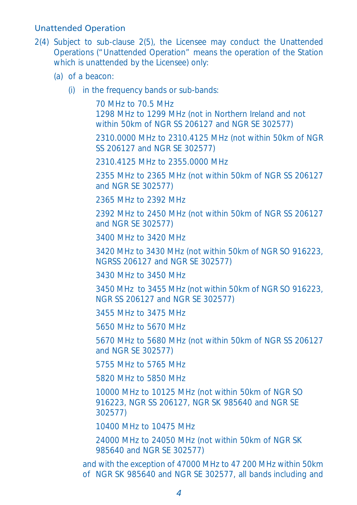#### Unattended Operation

- 2(4) Subject to sub-clause 2(5), the Licensee may conduct the Unattended Operations ("Unattended Operation" means the operation of the Station which is unattended by the Licensee) only:
	- (a) of a beacon:
		- (i) in the frequency bands or sub-bands:

70 MHz to 70.5 MHz 1298 MHz to 1299 MHz (not in Northern Ireland and not within 50km of NGR SS 206127 and NGR SE 302577)

2310.0000 MHz to 2310.4125 MHz (not within 50km of NGR SS 206127 and NGR SE 302577)

2310.4125 MHz to 2355.0000 MHz

2355 MHz to 2365 MHz (not within 50km of NGR SS 206127 and NGR SE 302577)

2365 MHz to 2392 MHz

2392 MHz to 2450 MHz (not within 50km of NGR SS 206127 and NGR SE 302577)

3400 MHz to 3420 MHz

3420 MHz to 3430 MHz (not within 50km of NGR SO 916223, NGRSS 206127 and NGR SE 302577)

3430 MHz to 3450 MHz

3450 MHz to 3455 MHz (not within 50km of NGR SO 916223, NGR SS 206127 and NGR SE 302577)

3455 MHz to 3475 MHz

5650 MHz to 5670 MHz

5670 MHz to 5680 MHz (not within 50km of NGR SS 206127 and NGR SE 302577)

5755 MHz to 5765 MHz

5820 MHz to 5850 MHz

10000 MHz to 10125 MHz (not within 50km of NGR SO 916223, NGR SS 206127, NGR SK 985640 and NGR SE 302577)

10400 MHz to 10475 MHz

24000 MHz to 24050 MHz (not within 50km of NGR SK 985640 and NGR SE 302577)

and with the exception of 47000 MHz to 47 200 MHz within 50km of NGR SK 985640 and NGR SE 302577, all bands including and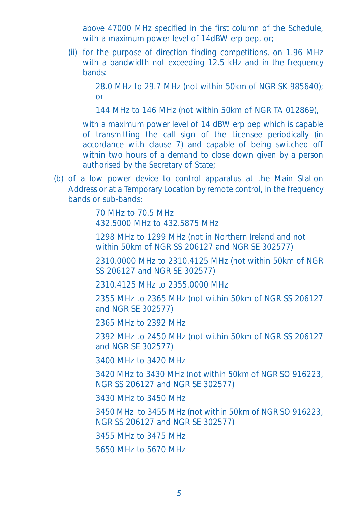above 47000 MHz specified in the first column of the Schedule, with a maximum power level of 14dBW erp pep, or;

(ii) for the purpose of direction finding competitions, on 1.96 MHz with a bandwidth not exceeding 12.5 kHz and in the frequency bands:

> 28.0 MHz to 29.7 MHz (not within 50km of NGR SK 985640); or

144 MHz to 146 MHz (not within 50km of NGR TA 012869),

with a maximum power level of 14 dBW erp pep which is capable of transmitting the call sign of the Licensee periodically (in accordance with clause 7) and capable of being switched off within two hours of a demand to close down given by a person authorised by the Secretary of State;

(b) of a low power device to control apparatus at the Main Station Address or at a Temporary Location by remote control, in the frequency bands or sub-bands:

> 70 MHz to 70.5 MHz 432.5000 MHz to 432.5875 MHz

1298 MHz to 1299 MHz (not in Northern Ireland and not within 50km of NGR SS 206127 and NGR SE 302577)

2310.0000 MHz to 2310.4125 MHz (not within 50km of NGR SS 206127 and NGR SE 302577)

2310.4125 MHz to 2355.0000 MHz

2355 MHz to 2365 MHz (not within 50km of NGR SS 206127 and NGR SE 302577)

2365 MHz to 2392 MHz

2392 MHz to 2450 MHz (not within 50km of NGR SS 206127 and NGR SE 302577)

3400 MHz to 3420 MHz

3420 MHz to 3430 MHz (not within 50km of NGR SO 916223, NGR SS 206127 and NGR SE 302577)

3430 MHz to 3450 MHz

3450 MHz to 3455 MHz (not within 50km of NGR SO 916223, NGR SS 206127 and NGR SE 302577)

3455 MHz to 3475 MHz

5650 MHz to 5670 MHz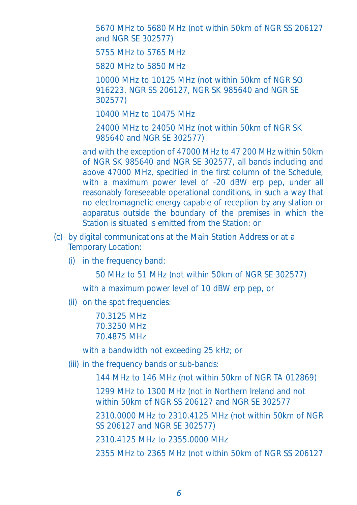5670 MHz to 5680 MHz (not within 50km of NGR SS 206127 and NGR SE 302577)

5755 MHz to 5765 MHz

5820 MHz to 5850 MHz

10000 MHz to 10125 MHz (not within 50km of NGR SO 916223, NGR SS 206127, NGR SK 985640 and NGR SE 302577)

10400 MHz to 10475 MHz

24000 MHz to 24050 MHz (not within 50km of NGR SK 985640 and NGR SE 302577)

and with the exception of 47000 MHz to 47 200 MHz within 50km of NGR SK 985640 and NGR SE 302577, all bands including and above 47000 MHz, specified in the first column of the Schedule, with a maximum power level of -20 dBW erp pep, under all reasonably foreseeable operational conditions, in such a way that no electromagnetic energy capable of reception by any station or apparatus outside the boundary of the premises in which the Station is situated is emitted from the Station: or

- (c) by digital communications at the Main Station Address or at a Temporary Location:
	- (i) in the frequency band:

50 MHz to 51 MHz (not within 50km of NGR SE 302577)

with a maximum power level of 10 dBW erp pep, or

(ii) on the spot frequencies:

70.3125 MHz 70.3250 MHz 70.4875 MHz

with a bandwidth not exceeding 25 kHz; or

(iii) in the frequency bands or sub-bands:

144 MHz to 146 MHz (not within 50km of NGR TA 012869)

1299 MHz to 1300 MHz (not in Northern Ireland and not within 50km of NGR SS 206127 and NGR SE 302577

2310.0000 MHz to 2310.4125 MHz (not within 50km of NGR SS 206127 and NGR SE 302577)

2310.4125 MHz to 2355.0000 MHz

2355 MHz to 2365 MHz (not within 50km of NGR SS 206127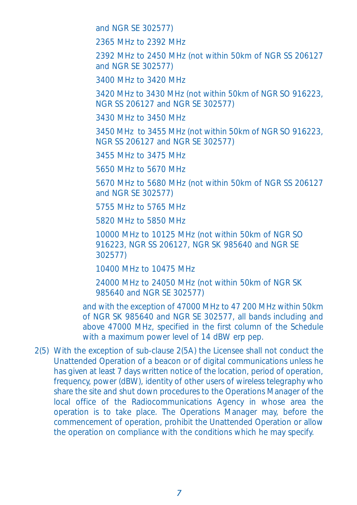and NGR SE 302577)

2365 MHz to 2392 MHz

2392 MHz to 2450 MHz (not within 50km of NGR SS 206127 and NGR SE 302577)

3400 MHz to 3420 MHz

3420 MHz to 3430 MHz (not within 50km of NGR SO 916223, NGR SS 206127 and NGR SE 302577)

3430 MHz to 3450 MHz

3450 MHz to 3455 MHz (not within 50km of NGR SO 916223, NGR SS 206127 and NGR SE 302577)

3455 MHz to 3475 MHz

5650 MHz to 5670 MHz

5670 MHz to 5680 MHz (not within 50km of NGR SS 206127 and NGR SE 302577)

5755 MHz to 5765 MHz

5820 MHz to 5850 MHz

10000 MHz to 10125 MHz (not within 50km of NGR SO 916223, NGR SS 206127, NGR SK 985640 and NGR SE 302577)

10400 MHz to 10475 MHz

24000 MHz to 24050 MHz (not within 50km of NGR SK 985640 and NGR SE 302577)

and with the exception of 47000 MHz to 47 200 MHz within 50km of NGR SK 985640 and NGR SE 302577, all bands including and above 47000 MHz, specified in the first column of the Schedule with a maximum power level of 14 dBW erp pep.

2(5) With the exception of sub-clause 2(5A) the Licensee shall not conduct the Unattended Operation of a beacon or of digital communications unless he has given at least 7 days written notice of the location, period of operation, frequency, power (dBW), identity of other users of wireless telegraphy who share the site and shut down procedures to the Operations Manager of the local office of the Radiocommunications Agency in whose area the operation is to take place. The Operations Manager may, before the commencement of operation, prohibit the Unattended Operation or allow the operation on compliance with the conditions which he may specify.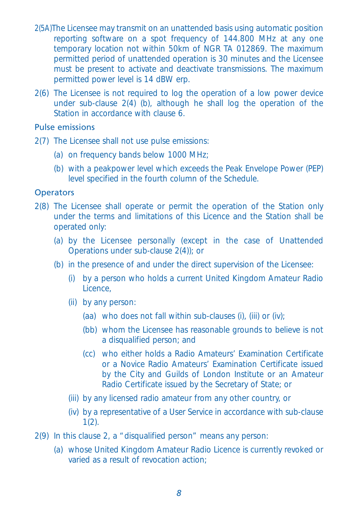- 2(5A)The Licensee may transmit on an unattended basis using automatic position reporting software on a spot frequency of 144.800 MHz at any one temporary location not within 50km of NGR TA 012869. The maximum permitted period of unattended operation is 30 minutes and the Licensee must be present to activate and deactivate transmissions. The maximum permitted power level is 14 dBW erp.
- 2(6) The Licensee is not required to log the operation of a low power device under sub-clause 2(4) (b), although he shall log the operation of the Station in accordance with clause 6

# Pulse emissions

- 2(7) The Licensee shall not use pulse emissions:
	- (a) on frequency bands below 1000 MHz;
	- (b) with a peakpower level which exceeds the Peak Envelope Power (PEP) level specified in the fourth column of the Schedule.

#### **Operators**

- 2(8) The Licensee shall operate or permit the operation of the Station only under the terms and limitations of this Licence and the Station shall be operated only:
	- (a) by the Licensee personally (except in the case of Unattended Operations under sub-clause 2(4)); or
	- (b) in the presence of and under the direct supervision of the Licensee:
		- (i) by a person who holds a current United Kingdom Amateur Radio Licence,
		- (ii) by any person:
			- (aa) who does not fall within sub-clauses (i), (iii) or (iv);
			- (bb) whom the Licensee has reasonable grounds to believe is not a disqualified person; and
			- (cc) who either holds a Radio Amateurs' Examination Certificate or a Novice Radio Amateurs' Examination Certificate issued by the City and Guilds of London Institute or an Amateur Radio Certificate issued by the Secretary of State; or
		- (iii) by any licensed radio amateur from any other country, or
		- (iv) by a representative of a User Service in accordance with sub-clause  $1(2)$ .
- 2(9) In this clause 2, a "disqualified person" means any person:
	- (a) whose United Kingdom Amateur Radio Licence is currently revoked or varied as a result of revocation action;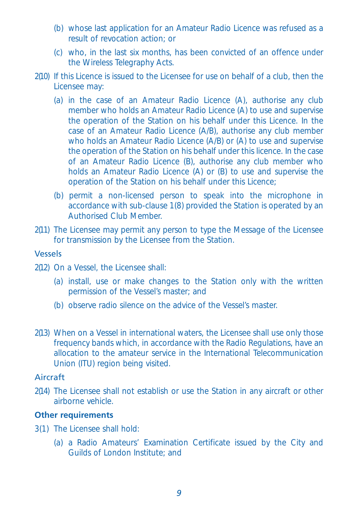- (b) whose last application for an Amateur Radio Licence was refused as a result of revocation action; or
- (c) who, in the last six months, has been convicted of an offence under the Wireless Telegraphy Acts.
- 2(10) If this Licence is issued to the Licensee for use on behalf of a club, then the Licensee may:
	- (a) in the case of an Amateur Radio Licence (A), authorise any club member who holds an Amateur Radio Licence (A) to use and supervise the operation of the Station on his behalf under this Licence. In the case of an Amateur Radio Licence (A/B), authorise any club member who holds an Amateur Radio Licence (A/B) or (A) to use and supervise the operation of the Station on his behalf under this licence. In the case of an Amateur Radio Licence (B), authorise any club member who holds an Amateur Radio Licence (A) or (B) to use and supervise the operation of the Station on his behalf under this Licence;
	- (b) permit a non-licensed person to speak into the microphone in accordance with sub-clause 1(8) provided the Station is operated by an Authorised Club Member.
- 2(11) The Licensee may permit any person to type the Message of the Licensee for transmission by the Licensee from the Station.

### Vessels

- 2(12) On a Vessel, the Licensee shall:
	- (a) install, use or make changes to the Station only with the written permission of the Vessel's master; and
	- (b) observe radio silence on the advice of the Vessel's master.
- 2(13) When on a Vessel in international waters, the Licensee shall use only those frequency bands which, in accordance with the Radio Regulations, have an allocation to the amateur service in the International Telecommunication Union (ITU) region being visited.

#### Aircraft

2(14) The Licensee shall not establish or use the Station in any aircraft or other airborne vehicle.

#### **Other requirements**

- 3(1) The Licensee shall hold:
	- (a) a Radio Amateurs' Examination Certificate issued by the City and Guilds of London Institute; and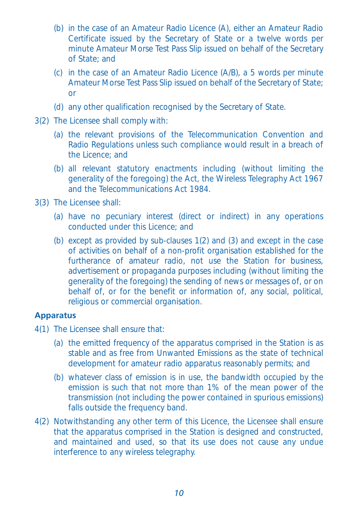- (b) in the case of an Amateur Radio Licence (A), either an Amateur Radio Certificate issued by the Secretary of State or a twelve words per minute Amateur Morse Test Pass Slip issued on behalf of the Secretary of State; and
- (c) in the case of an Amateur Radio Licence (A/B), a 5 words per minute Amateur Morse Test Pass Slip issued on behalf of the Secretary of State; or
- (d) any other qualification recognised by the Secretary of State.
- 3(2) The Licensee shall comply with:
	- (a) the relevant provisions of the Telecommunication Convention and Radio Regulations unless such compliance would result in a breach of the Licence; and
	- (b) all relevant statutory enactments including (without limiting the generality of the foregoing) the Act, the Wireless Telegraphy Act 1967 and the Telecommunications Act 1984.
- 3(3) The Licensee shall:
	- (a) have no pecuniary interest (direct or indirect) in any operations conducted under this Licence; and
	- (b) except as provided by sub-clauses 1(2) and (3) and except in the case of activities on behalf of a non-profit organisation established for the furtherance of amateur radio, not use the Station for business, advertisement or propaganda purposes including (without limiting the generality of the foregoing) the sending of news or messages of, or on behalf of, or for the benefit or information of, any social, political, religious or commercial organisation.

## **Apparatus**

- 4(1) The Licensee shall ensure that:
	- (a) the emitted frequency of the apparatus comprised in the Station is as stable and as free from Unwanted Emissions as the state of technical development for amateur radio apparatus reasonably permits; and
	- (b) whatever class of emission is in use, the bandwidth occupied by the emission is such that not more than 1% of the mean power of the transmission (not including the power contained in spurious emissions) falls outside the frequency band.
- 4(2) Notwithstanding any other term of this Licence, the Licensee shall ensure that the apparatus comprised in the Station is designed and constructed, and maintained and used, so that its use does not cause any undue interference to any wireless telegraphy.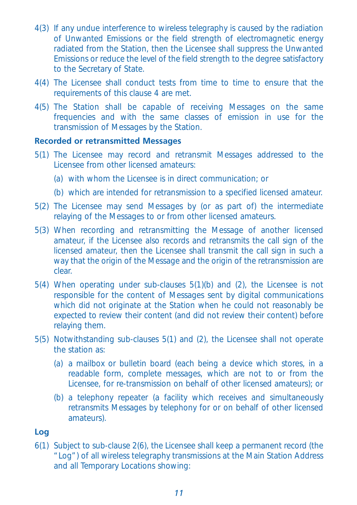- 4(3) If any undue interference to wireless telegraphy is caused by the radiation of Unwanted Emissions or the field strength of electromagnetic energy radiated from the Station, then the Licensee shall suppress the Unwanted Emissions or reduce the level of the field strength to the degree satisfactory to the Secretary of State.
- 4(4) The Licensee shall conduct tests from time to time to ensure that the requirements of this clause 4 are met.
- 4(5) The Station shall be capable of receiving Messages on the same frequencies and with the same classes of emission in use for the transmission of Messages by the Station.

#### **Recorded or retransmitted Messages**

- 5(1) The Licensee may record and retransmit Messages addressed to the Licensee from other licensed amateurs:
	- (a) with whom the Licensee is in direct communication; or
	- (b) which are intended for retransmission to a specified licensed amateur.
- 5(2) The Licensee may send Messages by (or as part of) the intermediate relaying of the Messages to or from other licensed amateurs.
- 5(3) When recording and retransmitting the Message of another licensed amateur, if the Licensee also records and retransmits the call sign of the licensed amateur, then the Licensee shall transmit the call sign in such a way that the origin of the Message and the origin of the retransmission are clear.
- 5(4) When operating under sub-clauses 5(1)(b) and (2), the Licensee is not responsible for the content of Messages sent by digital communications which did not originate at the Station when he could not reasonably be expected to review their content (and did not review their content) before relaying them.
- 5(5) Notwithstanding sub-clauses 5(1) and (2), the Licensee shall not operate the station as:
	- (a) a mailbox or bulletin board (each being a device which stores, in a readable form, complete messages, which are not to or from the Licensee, for re-transmission on behalf of other licensed amateurs); or
	- (b) a telephony repeater (a facility which receives and simultaneously retransmits Messages by telephony for or on behalf of other licensed amateurs).

# **Log**

6(1) Subject to sub-clause 2(6), the Licensee shall keep a permanent record (the "Log") of all wireless telegraphy transmissions at the Main Station Address and all Temporary Locations showing: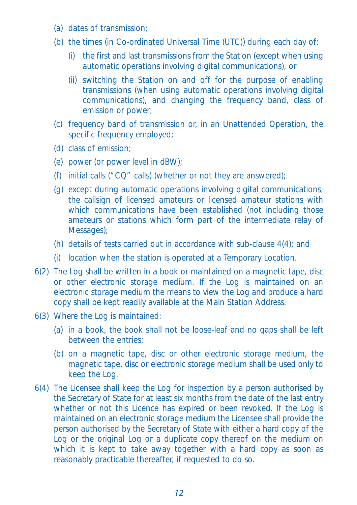- (a) dates of transmission;
- (b) the times (in Co-ordinated Universal Time (UTC)) during each day of:
	- (i) the first and last transmissions from the Station (except when using automatic operations involving digital communications), or
	- (ii) switching the Station on and off for the purpose of enabling transmissions (when using automatic operations involving digital communications), and changing the frequency band, class of emission or power;
- (c) frequency band of transmission or, in an Unattended Operation, the specific frequency employed;
- (d) class of emission;
- (e) power (or power level in dBW);
- (f) initial calls ("CQ" calls) (whether or not they are answered);
- (g) except during automatic operations involving digital communications, the callsign of licensed amateurs or licensed amateur stations with which communications have been established (not including those amateurs or stations which form part of the intermediate relay of Messages);
- (h) details of tests carried out in accordance with sub-clause 4(4); and
- (i) location when the station is operated at a Temporary Location.
- 6(2) The Log shall be written in a book or maintained on a magnetic tape, disc or other electronic storage medium. If the Log is maintained on an electronic storage medium the means to view the Log and produce a hard copy shall be kept readily available at the Main Station Address.
- 6(3) Where the Log is maintained:
	- (a) in a book, the book shall not be loose-leaf and no gaps shall be left between the entries;
	- (b) on a magnetic tape, disc or other electronic storage medium, the magnetic tape, disc or electronic storage medium shall be used only to keep the Log.
- 6(4) The Licensee shall keep the Log for inspection by a person authorised by the Secretary of State for at least six months from the date of the last entry whether or not this Licence has expired or been revoked. If the Log is maintained on an electronic storage medium the Licensee shall provide the person authorised by the Secretary of State with either a hard copy of the Log or the original Log or a duplicate copy thereof on the medium on which it is kept to take away together with a hard copy as soon as reasonably practicable thereafter, if requested to do so.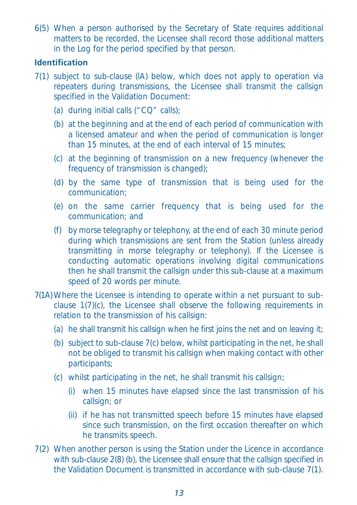6(5) When a person authorised by the Secretary of State requires additional matters to be recorded, the Licensee shall record those additional matters in the Log for the period specified by that person.

## **Identification**

- 7(1) subject to sub-clause (lA) below, which does not apply to operation via repeaters during transmissions, the Licensee shall transmit the callsign specified in the Validation Document:
	- (a) during initial calls ("CQ" calls);
	- (b) at the beginning and at the end of each period of communication with a licensed amateur and when the period of communication is longer than 15 minutes, at the end of each interval of 15 minutes;
	- (c) at the beginning of transmission on a new frequency (whenever the frequency of transmission is changed);
	- (d) by the same type of transmission that is being used for the communication;
	- (e) on the same carrier frequency that is being used for the communication; and
	- (f) by morse telegraphy or telephony, at the end of each 30 minute period during which transmissions are sent from the Station (unless already transmitting in morse telegraphy or telephony). If the Licensee is conducting automatic operations involving digital communications then he shall transmit the callsign under this sub-clause at a maximum speed of 20 words per minute.
- 7(1A) Where the Licensee is intending to operate within a net pursuant to subclause 1(7)(c), the Licensee shall observe the following requirements in relation to the transmission of his callsign:
	- (a) he shall transmit his callsign when he first joins the net and on leaving it;
	- (b) subject to sub-clause 7(c) below, whilst participating in the net, he shall not be obliged to transmit his callsign when making contact with other participants;
	- (c) whilst participating in the net, he shall transmit his callsign;
		- (i) when 15 minutes have elapsed since the last transmission of his callsign; or
		- (ii) if he has not transmitted speech before 15 minutes have elapsed since such transmission, on the first occasion thereafter on which he transmits speech.
- 7(2) When another person is using the Station under the Licence in accordance with sub-clause 2(8) (b), the Licensee shall ensure that the callsign specified in the Validation Document is transmitted in accordance with sub-clause 7(1).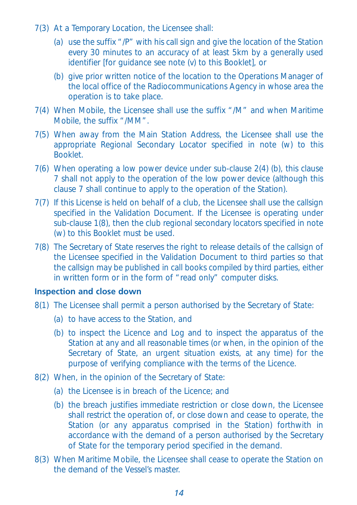- 7(3) At a Temporary Location, the Licensee shall:
	- (a) use the suffix "/P" with his call sign and give the location of the Station every 30 minutes to an accuracy of at least 5km by a generally used identifier [for guidance see note (v) to this Booklet], or
	- (b) give prior written notice of the location to the Operations Manager of the local office of the Radiocommunications Agency in whose area the operation is to take place.
- 7(4) When Mobile, the Licensee shall use the suffix "/M" and when Maritime Mobile, the suffix "/MM".
- 7(5) When away from the Main Station Address, the Licensee shall use the appropriate Regional Secondary Locator specified in note (w) to this **Booklet**
- 7(6) When operating a low power device under sub-clause 2(4) (b), this clause 7 shall not apply to the operation of the low power device (although this clause 7 shall continue to apply to the operation of the Station).
- 7(7) If this License is held on behalf of a club, the Licensee shall use the callsign specified in the Validation Document. If the Licensee is operating under sub-clause 1(8), then the club regional secondary locators specified in note (w) to this Booklet must be used.
- 7(8) The Secretary of State reserves the right to release details of the callsign of the Licensee specified in the Validation Document to third parties so that the callsign may be published in call books compiled by third parties, either in written form or in the form of "read only" computer disks.

# **Inspection and close down**

- 8(1) The Licensee shall permit a person authorised by the Secretary of State:
	- (a) to have access to the Station, and
	- (b) to inspect the Licence and Log and to inspect the apparatus of the Station at any and all reasonable times (or when, in the opinion of the Secretary of State, an urgent situation exists, at any time) for the purpose of verifying compliance with the terms of the Licence.
- 8(2) When, in the opinion of the Secretary of State:
	- (a) the Licensee is in breach of the Licence; and
	- (b) the breach justifies immediate restriction or close down, the Licensee shall restrict the operation of, or close down and cease to operate, the Station (or any apparatus comprised in the Station) forthwith in accordance with the demand of a person authorised by the Secretary of State for the temporary period specified in the demand.
- 8(3) When Maritime Mobile, the Licensee shall cease to operate the Station on the demand of the Vessel's master.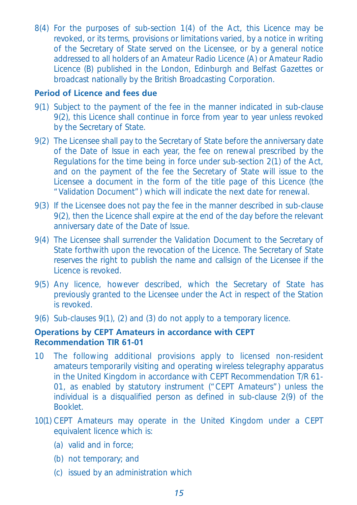8(4) For the purposes of sub-section 1(4) of the Act, this Licence may be revoked, or its terms, provisions or limitations varied, by a notice in writing of the Secretary of State served on the Licensee, or by a general notice addressed to all holders of an Amateur Radio Licence (A) or Amateur Radio Licence (B) published in the London, Edinburgh and Belfast Gazettes or broadcast nationally by the British Broadcasting Corporation.

#### **Period of Licence and fees due**

- 9(1) Subject to the payment of the fee in the manner indicated in sub-clause 9(2), this Licence shall continue in force from year to year unless revoked by the Secretary of State.
- 9(2) The Licensee shall pay to the Secretary of State before the anniversary date of the Date of Issue in each year, the fee on renewal prescribed by the Regulations for the time being in force under sub-section 2(1) of the Act, and on the payment of the fee the Secretary of State will issue to the Licensee a document in the form of the title page of this Licence (the "Validation Document") which will indicate the next date for renewal.
- 9(3) If the Licensee does not pay the fee in the manner described in sub-clause 9(2), then the Licence shall expire at the end of the day before the relevant anniversary date of the Date of Issue.
- 9(4) The Licensee shall surrender the Validation Document to the Secretary of State forthwith upon the revocation of the Licence. The Secretary of State reserves the right to publish the name and callsign of the Licensee if the Licence is revoked.
- 9(5) Any licence, however described, which the Secretary of State has previously granted to the Licensee under the Act in respect of the Station is revoked.
- 9(6) Sub-clauses 9(1), (2) and (3) do not apply to a temporary licence.

## **Operations by CEPT Amateurs in accordance with CEPT Recommendation TIR 61-01**

- 10 The following additional provisions apply to licensed non-resident amateurs temporarily visiting and operating wireless telegraphy apparatus in the United Kingdom in accordance with CEPT Recommendation T/R 61- 01, as enabled by statutory instrument ("CEPT Amateurs") unless the individual is a disqualified person as defined in sub-clause 2(9) of the Booklet.
- 10(1) CEPT Amateurs may operate in the United Kingdom under a CEPT equivalent licence which is:
	- (a) valid and in force;
	- (b) not temporary; and
	- (c) issued by an administration which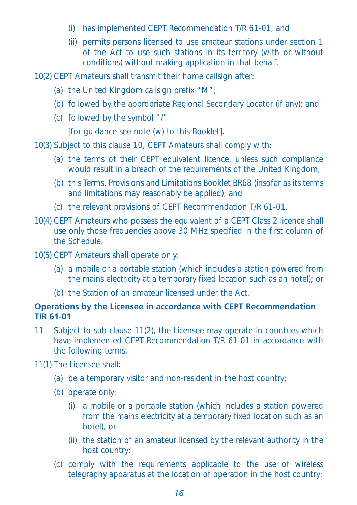- (i) has implemented CEPT Recommendation T/R 61-01, and
- (ii) permits persons licensed to use amateur stations under section 1 of the Act to use such stations in its territory (with or without conditions) without making application in that behalf.

10(2) CEPT Amateurs shall transmit their home callsign after:

- (a) the United Kingdom callsign prefix "M";
- (b) followed by the appropriate Regional Secondary Locator (if any); and
- (c) followed by the symbol "/"

[for guidance see note (w) to this Booklet].

10(3) Subject to this clause 10, CEPT Amateurs shall comply with:

- (a) the terms of their CEPT equivalent licence, unless such compliance would result in a breach of the requirements of the United Kingdom;
- (b) this Terms, Provisions and Limitations Booklet BR68 (insofar as its terms and limitations may reasonably be applied); and
- (c) the relevant provisions of CEPT Recommendation T/R 61-01.
- 10(4) CEPT Amateurs who possess the equivalent of a CEPT Class 2 licence shall use only those frequencies above 30 MHz specified in the first column of the Schedule.
- 10(5) CEPT Amateurs shall operate only:
	- (a) a mobile or a portable station (which includes a station powered from the mains electricity at a temporary fixed location such as an hotel); or
	- (b) the Station of an amateur licensed under the Act.

#### **Operations by the Licensee in accordance with CEPT Recommendation TIR 61-01**

11 Subject to sub-clause 11(2), the Licensee may operate in countries which have implemented CEPT Recommendation T/R 61-01 in accordance with the following terms.

11(1) The Licensee shall:

- (a) be a temporary visitor and non-resident in the host country;
- (b) operate only:
	- (i) a mobile or a portable station (which includes a station powered from the mains electricity at a temporary fixed location such as an hotel), or
	- (ii) the station of an amateur licensed by the relevant authority in the host country;
- (c) comply with the requirements applicable to the use of wireless telegraphy apparatus at the location of operation in the host country;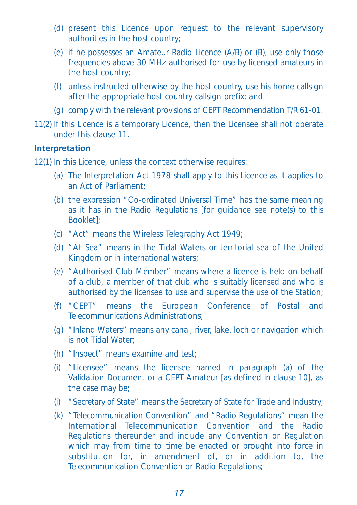- (d) present this Licence upon request to the relevant supervisory authorities in the host country;
- (e) if he possesses an Amateur Radio Licence (A/B) or (B), use only those frequencies above 30 MHz authorised for use by licensed amateurs in the host country;
- (f) unless instructed otherwise by the host country, use his home callsign after the appropriate host country callsign prefix; and
- (g) comply with the relevant provisions of CEPT Recommendation T/R 61-01.
- 11(2) If this Licence is a temporary Licence, then the Licensee shall not operate under this clause 11.

#### **Interpretation**

12(1) In this Licence, unless the context otherwise requires:

- (a) The Interpretation Act 1978 shall apply to this Licence as it applies to an Act of Parliament;
- (b) the expression "Co-ordinated Universal Time" has the same meaning as it has in the Radio Regulations [for guidance see note(s) to this Booklet];
- (c) "Act" means the Wireless Telegraphy Act 1949;
- (d) "At Sea" means in the Tidal Waters or territorial sea of the United Kingdom or in international waters;
- (e) "Authorised Club Member" means where a licence is held on behalf of a club, a member of that club who is suitably licensed and who is authorised by the licensee to use and supervise the use of the Station;
- (f) "CEPT" means the European Conference of Postal and Telecommunications Administrations;
- (g) "Inland Waters" means any canal, river, lake, loch or navigation which is not Tidal Water;
- (h) "Inspect" means examine and test;
- (i) "Licensee" means the licensee named in paragraph (a) of the Validation Document or a CEPT Amateur [as defined in clause 10], as the case may be;
- (j) "Secretary of State" means the Secretary of State for Trade and Industry;
- (k) "Telecommunication Convention" and "Radio Regulations" mean the International Telecommunication Convention and the Radio Regulations thereunder and include any Convention or Regulation which may from time to time be enacted or brought into force in substitution for, in amendment of, or in addition to, the Telecommunication Convention or Radio Regulations;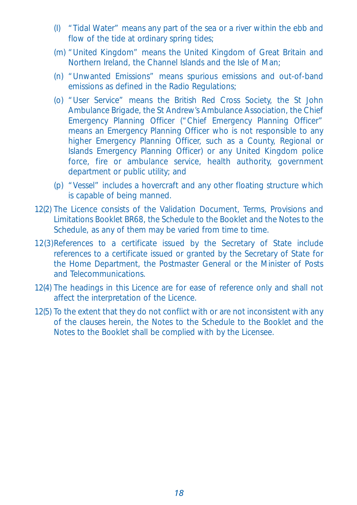- (I) "Tidal Water" means any part of the sea or a river within the ebb and flow of the tide at ordinary spring tides;
- (m) "United Kingdom" means the United Kingdom of Great Britain and Northern Ireland, the Channel Islands and the Isle of Man;
- (n) "Unwanted Emissions" means spurious emissions and out-of-band emissions as defined in the Radio Regulations;
- (o) "User Service" means the British Red Cross Society, the St John Ambulance Brigade, the St Andrew's Ambulance Association, the Chief Emergency Planning Officer ("Chief Emergency Planning Officer" means an Emergency Planning Officer who is not responsible to any higher Emergency Planning Officer, such as a County, Regional or Islands Emergency Planning Officer) or any United Kingdom police force, fire or ambulance service, health authority, government department or public utility; and
- (p) "Vessel" includes a hovercraft and any other floating structure which is capable of being manned.
- 12(2) The Licence consists of the Validation Document, Terms, Provisions and Limitations Booklet BR68, the Schedule to the Booklet and the Notes to the Schedule, as any of them may be varied from time to time.
- 12(3)References to a certificate issued by the Secretary of State include references to a certificate issued or granted by the Secretary of State for the Home Department, the Postmaster General or the Minister of Posts and Telecommunications.
- 12(4) The headings in this Licence are for ease of reference only and shall not affect the interpretation of the Licence.
- 12(5) To the extent that they do not conflict with or are not inconsistent with any of the clauses herein, the Notes to the Schedule to the Booklet and the Notes to the Booklet shall be complied with by the Licensee.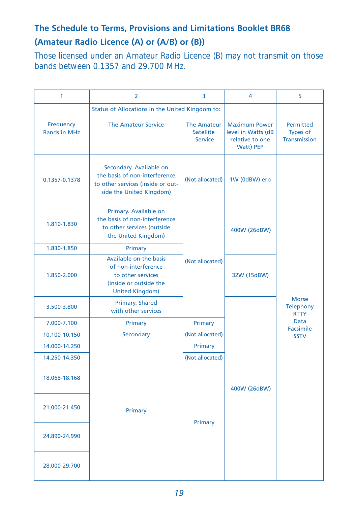# **The Schedule to Terms, Provisions and Limitations Booklet BR68 (Amateur Radio Licence (A) or (A/B) or (B))**

Those licensed under an Amateur Radio Licence (B) may not transmit on those bands between 0.1357 and 29.700 MHz.

| 1                                | $\overline{2}$                                                                                                                            | 3                                                 | 4                                                                          | 5                                                                                   |  |  |
|----------------------------------|-------------------------------------------------------------------------------------------------------------------------------------------|---------------------------------------------------|----------------------------------------------------------------------------|-------------------------------------------------------------------------------------|--|--|
|                                  | Status of Allocations in the United Kingdom to:                                                                                           |                                                   |                                                                            |                                                                                     |  |  |
| Frequency<br><b>Bands in MHz</b> | <b>The Amateur Service</b>                                                                                                                | The Amateur<br><b>Satellite</b><br><b>Service</b> | <b>Maximum Power</b><br>level in Watts (dB<br>relative to one<br>Watt) PEP | <b>Permitted</b><br>Types of<br>Transmission                                        |  |  |
| 0.1357-0.1378                    | Secondary. Available on<br>the basis of non-interference<br>to other services (inside or out-<br>side the United Kingdom)                 | (Not allocated)                                   | 1W (0dBW) erp                                                              |                                                                                     |  |  |
| 1.810-1.830                      | Primary. Available on<br>the basis of non-interference<br>to other services (outside<br>the United Kingdom)                               |                                                   | 400W (26dBW)                                                               |                                                                                     |  |  |
| 1.830-1.850                      | Primary                                                                                                                                   |                                                   |                                                                            |                                                                                     |  |  |
| 1.850-2.000                      | Available on the basis<br>(Not allocated)<br>of non-interference<br>to other services<br>(inside or outside the<br><b>United Kingdom)</b> |                                                   | 32W (15dBW)                                                                |                                                                                     |  |  |
| 3.500-3.800                      | Primary. Shared<br>with other services                                                                                                    |                                                   |                                                                            | <b>Morse</b><br><b>Telephony</b><br><b>RTTY</b><br>Data<br>Facsimile<br><b>SSTV</b> |  |  |
| 7.000-7.100                      | Primary                                                                                                                                   | Primary                                           |                                                                            |                                                                                     |  |  |
| 10.100-10.150                    | Secondary                                                                                                                                 | (Not allocated)                                   |                                                                            |                                                                                     |  |  |
| 14.000-14.250                    |                                                                                                                                           | Primary                                           |                                                                            |                                                                                     |  |  |
| 14.250-14.350                    |                                                                                                                                           | (Not allocated)                                   |                                                                            |                                                                                     |  |  |
| 18.068-18.168                    |                                                                                                                                           |                                                   | 400W (26dBW)                                                               |                                                                                     |  |  |
| 21.000-21.450<br>24.890-24.990   | Primary                                                                                                                                   | Primary                                           |                                                                            |                                                                                     |  |  |
|                                  |                                                                                                                                           |                                                   |                                                                            |                                                                                     |  |  |
| 28.000-29.700                    |                                                                                                                                           |                                                   |                                                                            |                                                                                     |  |  |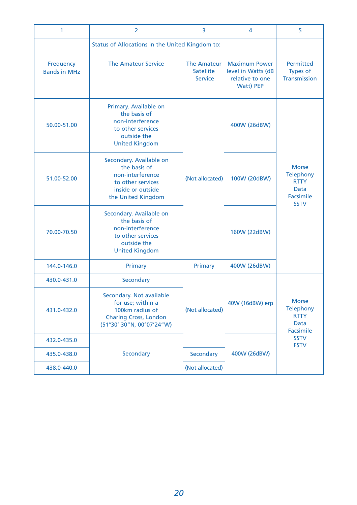| 1                                                                                                                                            | $\overline{2}$                                                                                                              | 3                                                 | 4                                                                                 | 5                                                                                          |
|----------------------------------------------------------------------------------------------------------------------------------------------|-----------------------------------------------------------------------------------------------------------------------------|---------------------------------------------------|-----------------------------------------------------------------------------------|--------------------------------------------------------------------------------------------|
|                                                                                                                                              | Status of Allocations in the United Kingdom to:                                                                             |                                                   |                                                                                   |                                                                                            |
| Frequency<br><b>Bands in MHz</b>                                                                                                             | <b>The Amateur Service</b>                                                                                                  | The Amateur<br><b>Satellite</b><br><b>Service</b> | <b>Maximum Power</b><br>level in Watts (dB<br>relative to one<br><b>Watt) PEP</b> | <b>Permitted</b><br><b>Types of</b><br>Transmission                                        |
| 50.00-51.00                                                                                                                                  | Primary. Available on<br>the basis of<br>non-interference<br>to other services<br>outside the<br><b>United Kingdom</b>      |                                                   | 400W (26dBW)                                                                      |                                                                                            |
| 51.00-52.00                                                                                                                                  | Secondary. Available on<br>the basis of<br>non-interference<br>to other services<br>inside or outside<br>the United Kingdom | (Not allocated)                                   | 100W (20dBW)                                                                      | <b>Morse</b><br><b>Telephony</b><br><b>RTTY</b><br><b>Data</b><br>Facsimile<br><b>SSTV</b> |
| 70.00-70.50                                                                                                                                  | Secondary. Available on<br>the basis of<br>non-interference<br>to other services<br>outside the<br><b>United Kingdom</b>    |                                                   | 160W (22dBW)                                                                      |                                                                                            |
| 144.0-146.0                                                                                                                                  | Primary                                                                                                                     | Primary                                           | 400W (26dBW)                                                                      |                                                                                            |
| 430.0-431.0                                                                                                                                  | Secondary                                                                                                                   |                                                   |                                                                                   |                                                                                            |
| Secondary. Not available<br>for use: within a<br>100km radius of<br>431.0-432.0<br><b>Charing Cross, London</b><br>(51°30' 30"N, 00°07'24"W) |                                                                                                                             | (Not allocated)                                   | 40W (16dBW) erp                                                                   | <b>Morse</b><br>Telephony<br><b>RTTY</b><br><b>Data</b><br>Facsimile                       |
| 432.0-435.0                                                                                                                                  |                                                                                                                             |                                                   |                                                                                   | <b>SSTV</b><br><b>FSTV</b>                                                                 |
| 435.0-438.0                                                                                                                                  | Secondary                                                                                                                   | Secondary                                         | 400W (26dBW)                                                                      |                                                                                            |
| 438.0-440.0                                                                                                                                  |                                                                                                                             | (Not allocated)                                   |                                                                                   |                                                                                            |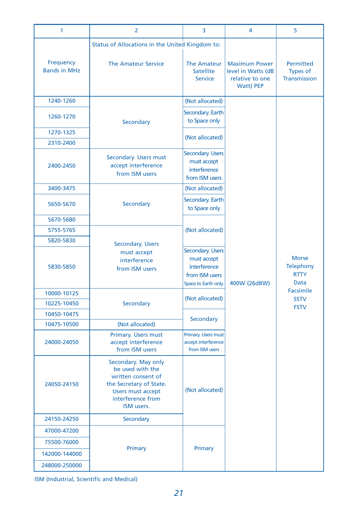| 1                                | $\overline{2}$                                                                                                                                          | 3                                                                                         | 4                                                                          | 5                                                       |  |
|----------------------------------|---------------------------------------------------------------------------------------------------------------------------------------------------------|-------------------------------------------------------------------------------------------|----------------------------------------------------------------------------|---------------------------------------------------------|--|
|                                  | Status of Allocations in the United Kingdom to:                                                                                                         |                                                                                           |                                                                            |                                                         |  |
| Frequency<br><b>Bands in MHz</b> | <b>The Amateur Service</b>                                                                                                                              | <b>The Amateur</b><br><b>Satellite</b><br><b>Service</b>                                  | <b>Maximum Power</b><br>level in Watts (dB<br>relative to one<br>Watt) PEP | Permitted<br><b>Types of</b><br><b>Transmission</b>     |  |
| 1240-1260                        |                                                                                                                                                         | (Not allocated)                                                                           |                                                                            |                                                         |  |
| 1260-1270                        | <b>Secondary</b>                                                                                                                                        | Secondary. Earth<br>to Space only                                                         |                                                                            |                                                         |  |
| 1270-1325                        |                                                                                                                                                         |                                                                                           |                                                                            |                                                         |  |
| 2310-2400                        |                                                                                                                                                         | (Not allocated)                                                                           |                                                                            |                                                         |  |
| 2400-2450                        | Secondary. Users must<br>accept interference<br>from ISM users                                                                                          | Secondary. Users<br>must accept<br>interference<br>from ISM users                         |                                                                            |                                                         |  |
| 3400-3475                        |                                                                                                                                                         | (Not allocated)                                                                           |                                                                            |                                                         |  |
| 5650-5670                        | Secondary                                                                                                                                               | Secondary. Earth<br>to Space only                                                         |                                                                            |                                                         |  |
| 5670-5680                        |                                                                                                                                                         |                                                                                           |                                                                            |                                                         |  |
| 5755-5765                        |                                                                                                                                                         | (Not allocated)                                                                           |                                                                            |                                                         |  |
| 5820-5830                        | Secondary. Users                                                                                                                                        |                                                                                           |                                                                            |                                                         |  |
| 5830-5850                        | must accept<br>interference<br>from ISM users                                                                                                           | Secondary. Users<br>must accept<br>interference<br>from ISM users<br>Space to Earth only. | 400W (26dBW)                                                               | <b>Morse</b><br><b>Telephony</b><br><b>RTTY</b><br>Data |  |
| 10000-10125                      |                                                                                                                                                         |                                                                                           |                                                                            | Facsimile                                               |  |
| 10225-10450                      | Secondary                                                                                                                                               | (Not allocated)                                                                           |                                                                            | <b>SSTV</b><br><b>FSTV</b>                              |  |
| 10450-10475                      |                                                                                                                                                         |                                                                                           |                                                                            |                                                         |  |
| 10475-10500                      | (Not allocated)                                                                                                                                         | Secondary                                                                                 |                                                                            |                                                         |  |
| 24000-24050                      | Primary. Users must<br>accept interference<br>from ISM users                                                                                            | Primary. Users must<br>accept interference<br>from ISM users                              |                                                                            |                                                         |  |
| 24050-24150                      | Secondary. May only<br>be used with the<br>written consent of<br>the Secretary of State.<br><b>Users must accept</b><br>interference from<br>ISM users. | (Not allocated)                                                                           |                                                                            |                                                         |  |
| 24150-24250                      | Secondary                                                                                                                                               |                                                                                           |                                                                            |                                                         |  |
| 47000-47200                      |                                                                                                                                                         |                                                                                           |                                                                            |                                                         |  |
| 75500-76000                      |                                                                                                                                                         |                                                                                           |                                                                            |                                                         |  |
| 142000-144000                    | Primary                                                                                                                                                 | Primary                                                                                   |                                                                            |                                                         |  |
| 248000-250000                    |                                                                                                                                                         |                                                                                           |                                                                            |                                                         |  |

ISM (Industrial, Scientific and Medical)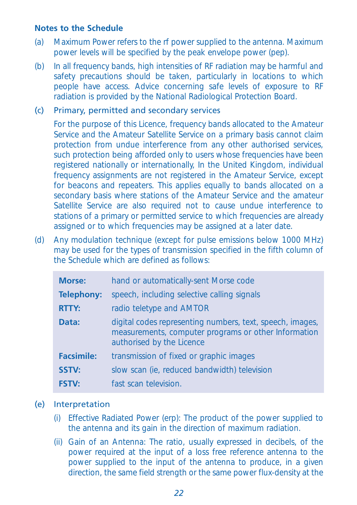#### **Notes to the Schedule**

- (a) Maximum Power refers to the rf power supplied to the antenna. Maximum power levels will be specified by the peak envelope power (pep).
- (b) In all frequency bands, high intensities of RF radiation may be harmful and safety precautions should be taken, particularly in locations to which people have access. Advice concerning safe levels of exposure to RF radiation is provided by the National Radiological Protection Board.

#### (c) Primary, permitted and secondary services

For the purpose of this Licence, frequency bands allocated to the Amateur Service and the Amateur Satellite Service on a primary basis cannot claim protection from undue interference from any other authorised services, such protection being afforded only to users whose frequencies have been registered nationally or internationally, In the United Kingdom, individual frequency assignments are not registered in the Amateur Service, except for beacons and repeaters. This applies equally to bands allocated on a secondary basis where stations of the Amateur Service and the amateur Satellite Service are also required not to cause undue interference to stations of a primary or permitted service to which frequencies are already assigned or to which frequencies may be assigned at a later date.

(d) Any modulation technique (except for pulse emissions below 1000 MHz) may be used for the types of transmission specified in the fifth column of the Schedule which are defined as follows:

| <b>Morse:</b>     | hand or automatically-sent Morse code                                                                                                          |
|-------------------|------------------------------------------------------------------------------------------------------------------------------------------------|
| <b>Telephony:</b> | speech, including selective calling signals                                                                                                    |
| <b>RTTY:</b>      | radio teletype and AMTOR                                                                                                                       |
| Data:             | digital codes representing numbers, text, speech, images,<br>measurements, computer programs or other Information<br>authorised by the Licence |
| <b>Facsimile:</b> | transmission of fixed or graphic images                                                                                                        |
| <b>SSTV:</b>      | slow scan (ie, reduced bandwidth) television                                                                                                   |
| <b>FSTV:</b>      | fast scan television.                                                                                                                          |

## (e) Interpretation

- (i) Effective Radiated Power (erp): The product of the power supplied to the antenna and its gain in the direction of maximum radiation.
- (ii) Gain of an Antenna: The ratio, usually expressed in decibels, of the power required at the input of a loss free reference antenna to the power supplied to the input of the antenna to produce, in a given direction, the same field strength or the same power flux-density at the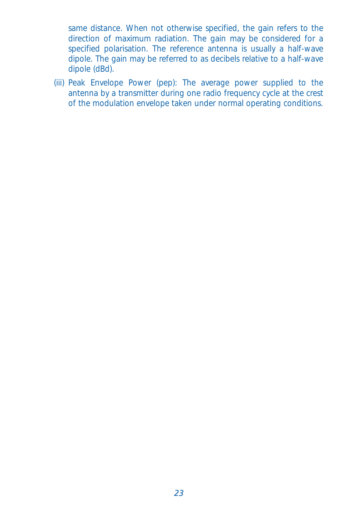same distance. When not otherwise specified, the gain refers to the direction of maximum radiation. The gain may be considered for a specified polarisation. The reference antenna is usually a half-wave dipole. The gain may be referred to as decibels relative to a half-wave dipole (dBd).

(iii) Peak Envelope Power (pep): The average power supplied to the antenna by a transmitter during one radio frequency cycle at the crest of the modulation envelope taken under normal operating conditions.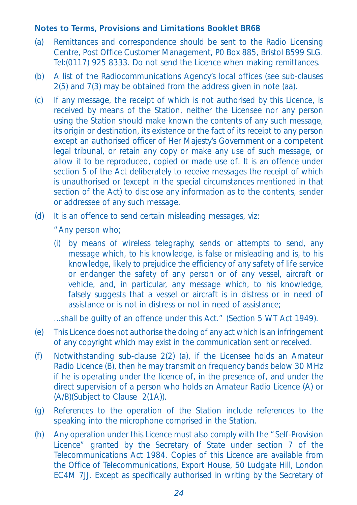## **Notes to Terms, Provisions and Limitations Booklet BR68**

- (a) Remittances and correspondence should be sent to the Radio Licensing Centre, Post Office Customer Management, P0 Box 885, Bristol B599 SLG. Tel:(0117) 925 8333. Do not send the Licence when making remittances.
- (b) A list of the Radiocommunications Agency's local offices (see sub-clauses 2(5) and 7(3) may be obtained from the address given in note (aa).
- (c) If any message, the receipt of which is not authorised by this Licence, is received by means of the Station, neither the Licensee nor any person using the Station should make known the contents of any such message, its origin or destination, its existence or the fact of its receipt to any person except an authorised officer of Her Majesty's Government or a competent legal tribunal, or retain any copy or make any use of such message, or allow it to be reproduced, copied or made use of. It is an offence under section 5 of the Act deliberately to receive messages the receipt of which is unauthorised or (except in the special circumstances mentioned in that section of the Act) to disclose any information as to the contents, sender or addressee of any such message.
- (d) It is an offence to send certain misleading messages, viz:

"Any person who;

(i) by means of wireless telegraphy, sends or attempts to send, any message which, to his knowledge, is false or misleading and is, to his knowledge, likely to prejudice the efficiency of any safety of life service or endanger the safety of any person or of any vessel, aircraft or vehicle, and, in particular, any message which, to his knowledge, falsely suggests that a vessel or aircraft is in distress or in need of assistance or is not in distress or not in need of assistance;

...shall be guilty of an offence under this Act." (Section 5 WT Act 1949).

- (e) This Licence does not authorise the doing of any act which is an infringement of any copyright which may exist in the communication sent or received.
- (f) Notwithstanding sub-clause 2(2) (a), if the Licensee holds an Amateur Radio Licence (B), then he may transmit on frequency bands below 30 MHz if he is operating under the licence of, in the presence of, and under the direct supervision of a person who holds an Amateur Radio Licence (A) or (A/B)(Subject to Clause 2(1A)).
- (g) References to the operation of the Station include references to the speaking into the microphone comprised in the Station.
- (h) Any operation under this Licence must also comply with the "Self-Provision Licence" granted by the Secretary of State under section 7 of the Telecommunications Act 1984. Copies of this Licence are available from the Office of Telecommunications, Export House, 50 Ludgate Hill, London EC4M 7JJ. Except as specifically authorised in writing by the Secretary of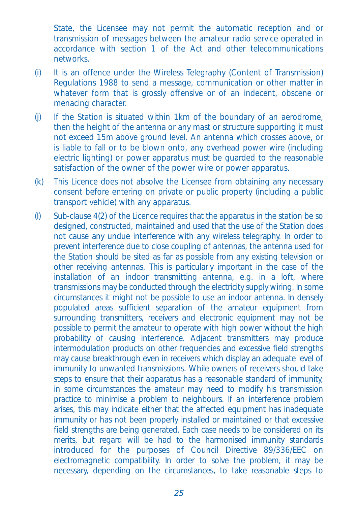State, the Licensee may not permit the automatic reception and or transmission of messages between the amateur radio service operated in accordance with section 1 of the Act and other telecommunications networks.

- (i) It is an offence under the Wireless Telegraphy (Content of Transmission) Regulations 1988 to send a message, communication or other matter in whatever form that is grossly offensive or of an indecent, obscene or menacing character.
- (j) If the Station is situated within 1km of the boundary of an aerodrome, then the height of the antenna or any mast or structure supporting it must not exceed 15m above ground level. An antenna which crosses above, or is liable to fall or to be blown onto, any overhead power wire (including electric lighting) or power apparatus must be guarded to the reasonable satisfaction of the owner of the power wire or power apparatus.
- (k) This Licence does not absolve the Licensee from obtaining any necessary consent before entering on private or public property (including a public transport vehicle) with any apparatus.
- (I) Sub-clause 4(2) of the Licence requires that the apparatus in the station be so designed, constructed, maintained and used that the use of the Station does not cause any undue interference with any wireless telegraphy. In order to prevent interference due to close coupling of antennas, the antenna used for the Station should be sited as far as possible from any existing television or other receiving antennas. This is particularly important in the case of the installation of an indoor transmitting antenna, e.g. in a loft, where transmissions may be conducted through the electricity supply wiring. In some circumstances it might not be possible to use an indoor antenna. In densely populated areas sufficient separation of the amateur equipment from surrounding transmitters, receivers and electronic equipment may not be possible to permit the amateur to operate with high power without the high probability of causing interference. Adjacent transmitters may produce intermodulation products on other frequencies and excessive field strengths may cause breakthrough even in receivers which display an adequate level of immunity to unwanted transmissions. While owners of receivers should take steps to ensure that their apparatus has a reasonable standard of immunity, in some circumstances the amateur may need to modify his transmission practice to minimise a problem to neighbours. If an interference problem arises, this may indicate either that the affected equipment has inadequate immunity or has not been properly installed or maintained or that excessive field strengths are being generated. Each case needs to be considered on its merits, but regard will be had to the harmonised immunity standards introduced for the purposes of Council Directive 89/336/EEC on electromagnetic compatibility. In order to solve the problem, it may be necessary, depending on the circumstances, to take reasonable steps to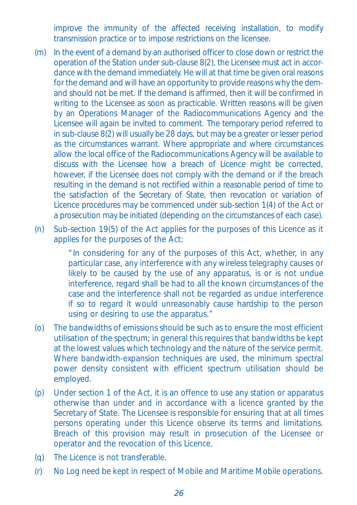improve the immunity of the affected receiving installation, to modify transmission practice or to impose restrictions on the licensee.

- (m) In the event of a demand by an authorised officer to close down or restrict the operation of the Station under sub-clause 8(2), the Licensee must act in accordance with the demand immediately. He will at that time be given oral reasons for the demand and will have an opportunity to provide reasons why the demand should not be met. If the demand is affirmed, then it will be confirmed in writing to the Licensee as soon as practicable. Written reasons will be given by an Operations Manager of the Radiocommunications Agency and the Licensee will again be invited to comment. The temporary period referred to in sub-clause 8(2) will usually be 28 days, but may be a greater or lesser period as the circumstances warrant. Where appropriate and where circumstances allow the local office of the Radiocommunications Agency will be available to discuss with the Licensee how a breach of Licence might be corrected, however, if the Licensee does not comply with the demand or if the breach resulting in the demand is not rectified within a reasonable period of time to the satisfaction of the Secretary of State, then revocation or variation of Licence procedures may be commenced under sub-section 1(4) of the Act or a prosecution may be initiated (depending on the circumstances of each case).
- (n) Sub-section 19(5) of the Act applies for the purposes of this Licence as it applies for the purposes of the Act:

"In considering for any of the purposes of this Act, whether, in any particular case, any interference with any wireless telegraphy causes or likely to be caused by the use of any apparatus, is or is not undue interference, regard shall be had to all the known circumstances of the case and the interference shall not be regarded as undue interference if so to regard it would unreasonably cause hardship to the person using or desiring to use the apparatus."

- (o) The bandwidths of emissions should be such as to ensure the most efficient utilisation of the spectrum; in general this requires that bandwidths be kept at the lowest values which technology and the nature of the service permit. Where bandwidth-expansion techniques are used, the minimum spectral power density consistent with efficient spectrum utilisation should be employed.
- (p) Under section 1 of the Act, it is an offence to use any station or apparatus otherwise than under and in accordance with a licence granted by the Secretary of State. The Licensee is responsible for ensuring that at all times persons operating under this Licence observe its terms and limitations. Breach of this provision may result in prosecution of the Licensee or operator and the revocation of this Licence.
- (q) The Licence is not transferable.
- (r) No Log need be kept in respect of Mobile and Maritime Mobile operations.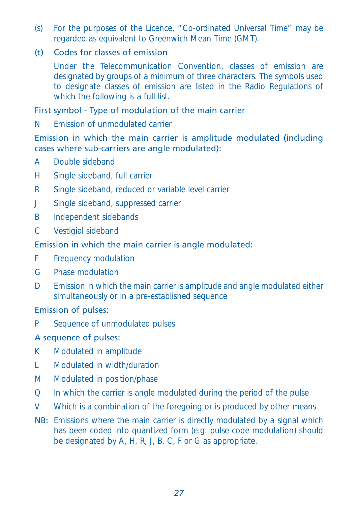(s) For the purposes of the Licence, "Co-ordinated Universal Time" may be regarded as equivalent to Greenwich Mean Time (GMT).

## (t) Codes for classes of emission

Under the Telecommunication Convention, classes of emission are designated by groups of a minimum of three characters. The symbols used to designate classes of emission are listed in the Radio Regulations of which the following is a full list.

# First symbol - Type of modulation of the main carrier

N Emission of unmodulated carrier

### Emission in which the main carrier is amplitude modulated (including cases where sub-carriers are angle modulated):

- A Double sideband
- H Single sideband, full carrier
- R Single sideband, reduced or variable level carrier
- J Single sideband, suppressed carrier
- B Independent sidebands
- C Vestigial sideband

# Emission in which the main carrier is angle modulated:

- F Frequency modulation
- G Phase modulation
- D Emission in which the main carrier is amplitude and angle modulated either simultaneously or in a pre-established sequence

#### Emission of pulses:

P Sequence of unmodulated pulses

# A sequence of pulses:

- K Modulated in amplitude
- L Modulated in width/duration
- M Modulated in position/phase
- Q In which the carrier is angle modulated during the period of the pulse
- V Which is a combination of the foregoing or is produced by other means
- NB: Emissions where the main carrier is directly modulated by a signal which has been coded into quantized form (e.g. pulse code modulation) should be designated by A, H, R, J, B, C, F or G as appropriate.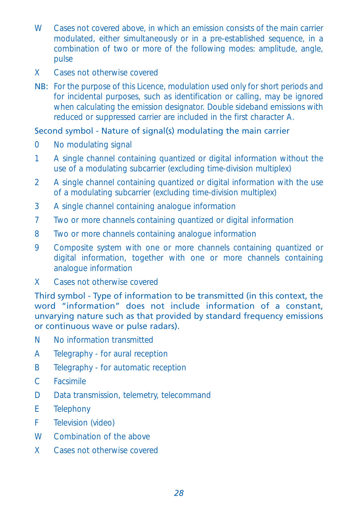- W Cases not covered above, in which an emission consists of the main carrier modulated, either simultaneously or in a pre-established sequence, in a combination of two or more of the following modes: amplitude, angle, pulse
- X Cases not otherwise covered
- NB: For the purpose of this Licence, modulation used only for short periods and for incidental purposes, such as identification or calling, may be ignored when calculating the emission designator. Double sideband emissions with reduced or suppressed carrier are included in the first character A.

# Second symbol - Nature of signal(s) modulating the main carrier

- 0 No modulating signal
- 1 A single channel containing quantized or digital information without the use of a modulating subcarrier (excluding time-division multiplex)
- 2 A single channel containing quantized or digital information with the use of a modulating subcarrier (excluding time-division multiplex)
- 3 A single channel containing analogue information
- 7 Two or more channels containing quantized or digital information
- 8 Two or more channels containing analogue information
- 9 Composite system with one or more channels containing quantized or digital information, together with one or more channels containing analogue information
- X Cases not otherwise covered

Third symbol - Type of information to be transmitted (in this context, the word "information" does not include information of a constant, unvarying nature such as that provided by standard frequency emissions or continuous wave or pulse radars).

- N No information transmitted
- A Telegraphy for aural reception
- B Telegraphy for automatic reception
- C Facsimile
- D Data transmission, telemetry, telecommand
- E Telephony
- F Television (video)
- W Combination of the above
- X Cases not otherwise covered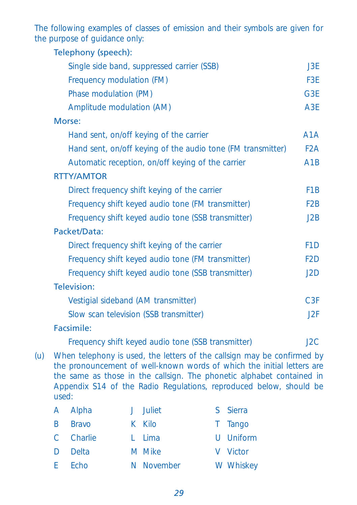The following examples of classes of emission and their symbols are given for the purpose of guidance only:

| Telephony (speech):                                         |                  |
|-------------------------------------------------------------|------------------|
| Single side band, suppressed carrier (SSB)                  | J3E              |
| Frequency modulation (FM)                                   | F <sub>3E</sub>  |
| Phase modulation (PM)                                       | G <sub>3E</sub>  |
| Amplitude modulation (AM)                                   | A <sub>3E</sub>  |
| Morse:                                                      |                  |
| Hand sent, on/off keying of the carrier                     | A <sub>1</sub> A |
| Hand sent, on/off keying of the audio tone (FM transmitter) | F2A              |
| Automatic reception, on/off keying of the carrier           | A1B              |
| <b>RTTY/AMTOR</b>                                           |                  |
| Direct frequency shift keying of the carrier                | F <sub>1</sub> B |
| Frequency shift keyed audio tone (FM transmitter)           | F <sub>2</sub> B |
| Frequency shift keyed audio tone (SSB transmitter)          | J2B              |
| Packet/Data:                                                |                  |
| Direct frequency shift keying of the carrier                | F <sub>1</sub> D |
| Frequency shift keyed audio tone (FM transmitter)           | F2D              |
| Frequency shift keyed audio tone (SSB transmitter)          | J2D              |
| Television:                                                 |                  |
| Vestigial sideband (AM transmitter)                         | C3F              |
| Slow scan television (SSB transmitter)                      | J2F              |
| Facsimile:                                                  |                  |
| Frequency shift keyed audio tone (SSB transmitter)          | J2C              |
|                                                             |                  |

(u) When telephony is used, the letters of the callsign may be confirmed by the pronouncement of well-known words of which the initial letters are the same as those in the callsign. The phonetic alphabet contained in Appendix S14 of the Radio Regulations, reproduced below, should be used:

| A Alpha        | J Juliet   | S Sierra  |
|----------------|------------|-----------|
| <b>B</b> Bravo | K Kilo     | T Tango   |
| C Charlie      | L Lima     | U Uniform |
| D Delta        | M Mike     | V Victor  |
| E Echo         | N November | W Whiskey |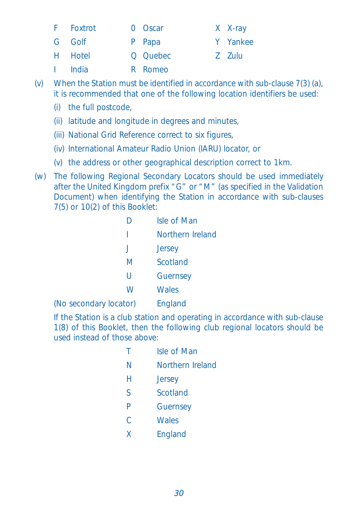- F Foxtrot 0 Oscar X X-ray
- G Golf P Papa Y Yankee
- H Hotel Q Quebec Z Zulu
- I India R Romeo
- (v) When the Station must be identified in accordance with sub-clause 7(3) (a), it is recommended that one of the following location identifiers be used:
	- (i) the full postcode,
	- (ii) latitude and longitude in degrees and minutes,
	- (iii) National Grid Reference correct to six figures,
	- (iv) International Amateur Radio Union (IARU) locator, or
	- (v) the address or other geographical description correct to 1km.
- (w) The following Regional Secondary Locators should be used immediately after the United Kingdom prefix "G" or "M" (as specified in the Validation Document) when identifying the Station in accordance with sub-clauses 7(5) or 10(2) of this Booklet:

|                        |              | Isle of Man      |
|------------------------|--------------|------------------|
|                        |              | Northern Ireland |
|                        | $\mathbf{J}$ | Jersey           |
|                        | M            | Scotland         |
|                        | U            | Guernsey         |
|                        | W            | <b>Wales</b>     |
| (No secondary locator) |              | England          |

If the Station is a club station and operating in accordance with sub-clause 1(8) of this Booklet, then the following club regional locators should be used instead of those above:

| т. | Isle of Man      |
|----|------------------|
| N  | Northern Ireland |
| H  | Jersey           |
| S  | Scotland         |
| P  | Guernsey         |
| C  | <b>Wales</b>     |
| X  | England          |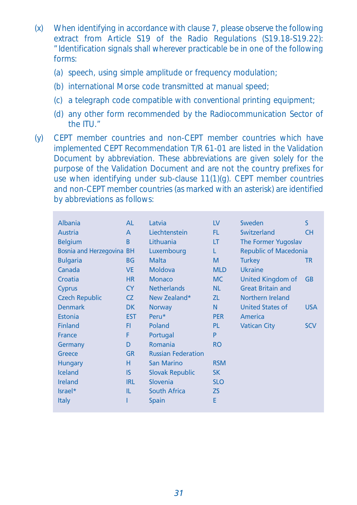- (x) When identifying in accordance with clause 7, please observe the following extract from Article S19 of the Radio Regulations (S19.18-S19.22): "Identification signals shall wherever practicable be in one of the following forms:
	- (a) speech, using simple amplitude or frequency modulation;
	- (b) international Morse code transmitted at manual speed;
	- (c) a telegraph code compatible with conventional printing equipment;
	- (d) any other form recommended by the Radiocommunication Sector of the ITU."
- (y) CEPT member countries and non-CEPT member countries which have implemented CEPT Recommendation T/R 61-01 are listed in the Validation Document by abbreviation. These abbreviations are given solely for the purpose of the Validation Document and are not the country prefixes for use when identifying under sub-clause 11(1)(g). CEPT member countries and non-CEPT member countries (as marked with an asterisk) are identified by abbreviations as follows:

| Albania                   | AL             | Latvia                    | $\mathsf{IV}$ | Sweden                       | S          |
|---------------------------|----------------|---------------------------|---------------|------------------------------|------------|
| Austria                   | $\overline{A}$ | Liechtenstein             | FL.           | Switzerland                  | <b>CH</b>  |
| <b>Belgium</b>            | B              | Lithuania                 | LT            | The Former Yugoslav          |            |
| Bosnia and Herzegovina BH |                | Luxembourg                | L             | <b>Republic of Macedonia</b> |            |
| <b>Bulgaria</b>           | ΒG             | <b>Malta</b>              | M             | <b>Turkey</b>                | TR         |
| Canada                    | <b>VE</b>      | <b>Moldova</b>            | <b>MLD</b>    | <b>Ukraine</b>               |            |
| Croatia                   | <b>HR</b>      | <b>Monaco</b>             | <b>MC</b>     | United Kingdom of            | <b>GB</b>  |
| Cyprus                    | <b>CY</b>      | <b>Netherlands</b>        | <b>NL</b>     | <b>Great Britain and</b>     |            |
| <b>Czech Republic</b>     | CZ.            | New Zealand*              | ZL.           | Northern Ireland             |            |
| <b>Denmark</b>            | DK.            | <b>Norway</b>             | N             | <b>United States of</b>      | <b>USA</b> |
| Estonia                   | <b>EST</b>     | Peru*                     | <b>PER</b>    | America                      |            |
| <b>Finland</b>            | FI             | Poland                    | PL.           | <b>Vatican City</b>          | <b>SCV</b> |
| France                    | F              | Portugal                  | P             |                              |            |
| Germany                   | D              | Romania                   | <b>RO</b>     |                              |            |
| Greece                    | <b>GR</b>      | <b>Russian Federation</b> |               |                              |            |
| <b>Hungary</b>            | н              | <b>San Marino</b>         | <b>RSM</b>    |                              |            |
| <b>Iceland</b>            | IS             | <b>Slovak Republic</b>    | <b>SK</b>     |                              |            |
| <b>Ireland</b>            | <b>IRL</b>     | Slovenia                  | <b>SLO</b>    |                              |            |
| Israel*                   | IL             | <b>South Africa</b>       | <b>ZS</b>     |                              |            |
| <b>Italy</b>              |                | <b>Spain</b>              | E             |                              |            |